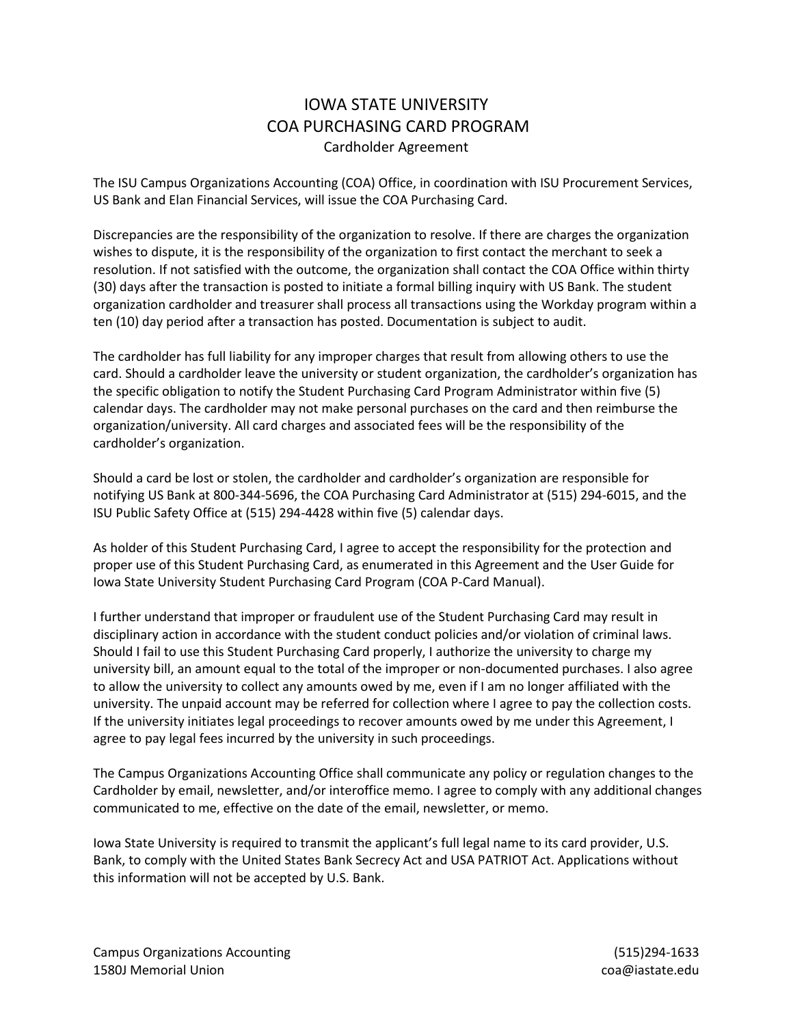## IOWA STATE UNIVERSITY COA PURCHASING CARD PROGRAM Cardholder Agreement

The ISU Campus Organizations Accounting (COA) Office, in coordination with ISU Procurement Services, US Bank and Elan Financial Services, will issue the COA Purchasing Card.

Discrepancies are the responsibility of the organization to resolve. If there are charges the organization wishes to dispute, it is the responsibility of the organization to first contact the merchant to seek a resolution. If not satisfied with the outcome, the organization shall contact the COA Office within thirty (30) days after the transaction is posted to initiate a formal billing inquiry with US Bank. The student organization cardholder and treasurer shall process all transactions using the Workday program within a ten (10) day period after a transaction has posted. Documentation is subject to audit.

The cardholder has full liability for any improper charges that result from allowing others to use the card. Should a cardholder leave the university or student organization, the cardholder's organization has the specific obligation to notify the Student Purchasing Card Program Administrator within five (5) calendar days. The cardholder may not make personal purchases on the card and then reimburse the organization/university. All card charges and associated fees will be the responsibility of the cardholder's organization.

Should a card be lost or stolen, the cardholder and cardholder's organization are responsible for notifying US Bank at 800-344-5696, the COA Purchasing Card Administrator at (515) 294-6015, and the ISU Public Safety Office at (515) 294-4428 within five (5) calendar days.

As holder of this Student Purchasing Card, I agree to accept the responsibility for the protection and proper use of this Student Purchasing Card, as enumerated in this Agreement and the User Guide for Iowa State University Student Purchasing Card Program (COA P-Card Manual).

I further understand that improper or fraudulent use of the Student Purchasing Card may result in disciplinary action in accordance with the student conduct policies and/or violation of criminal laws. Should I fail to use this Student Purchasing Card properly, I authorize the university to charge my university bill, an amount equal to the total of the improper or non-documented purchases. I also agree to allow the university to collect any amounts owed by me, even if I am no longer affiliated with the university. The unpaid account may be referred for collection where I agree to pay the collection costs. If the university initiates legal proceedings to recover amounts owed by me under this Agreement, I agree to pay legal fees incurred by the university in such proceedings.

The Campus Organizations Accounting Office shall communicate any policy or regulation changes to the Cardholder by email, newsletter, and/or interoffice memo. I agree to comply with any additional changes communicated to me, effective on the date of the email, newsletter, or memo.

Iowa State University is required to transmit the applicant's full legal name to its card provider, U.S. Bank, to comply with the United States Bank Secrecy Act and USA PATRIOT Act. Applications without this information will not be accepted by U.S. Bank.